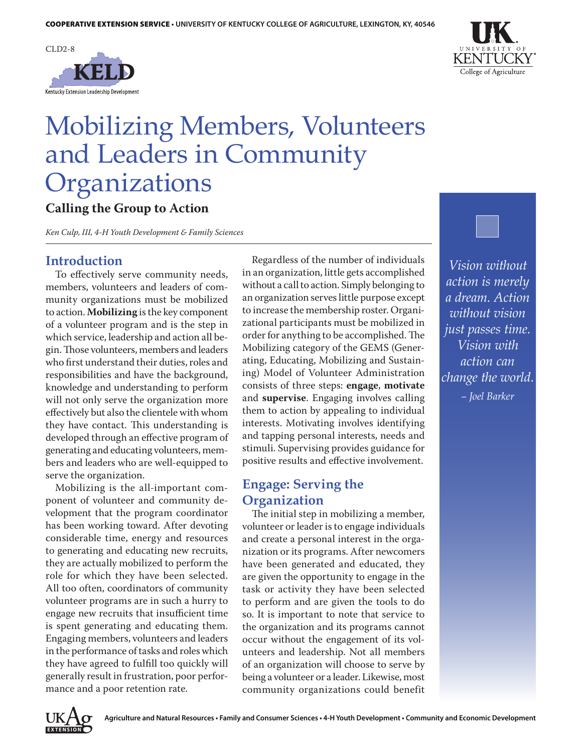



# Mobilizing Members, Volunteers and Leaders in Community Organizations

# **Calling the Group to Action**

*Ken Culp, III, 4-H Youth Development & Family Sciences*

#### **Introduction**

To effectively serve community needs, members, volunteers and leaders of community organizations must be mobilized to action. **Mobilizing** is the key component of a volunteer program and is the step in which service, leadership and action all begin. Those volunteers, members and leaders who first understand their duties, roles and responsibilities and have the background, knowledge and understanding to perform will not only serve the organization more effectively but also the clientele with whom they have contact. This understanding is developed through an effective program of generating and educating volunteers, members and leaders who are well-equipped to serve the organization.

Mobilizing is the all-important component of volunteer and community development that the program coordinator has been working toward. After devoting considerable time, energy and resources to generating and educating new recruits, they are actually mobilized to perform the role for which they have been selected. All too often, coordinators of community volunteer programs are in such a hurry to engage new recruits that insufficient time is spent generating and educating them. Engaging members, volunteers and leaders in the performance of tasks and roles which they have agreed to fulfill too quickly will generally result in frustration, poor performance and a poor retention rate.

Regardless of the number of individuals in an organization, little gets accomplished without a call to action. Simply belonging to an organization serves little purpose except to increase the membership roster. Organizational participants must be mobilized in order for anything to be accomplished. The Mobilizing category of the GEMS (Generating, Educating, Mobilizing and Sustaining) Model of Volunteer Administration consists of three steps: **engage**, **motivate**  and **supervise**. Engaging involves calling them to action by appealing to individual interests. Motivating involves identifying and tapping personal interests, needs and stimuli. Supervising provides guidance for positive results and effective involvement.

#### **Engage: Serving the Organization**

The initial step in mobilizing a member, volunteer or leader is to engage individuals and create a personal interest in the organization or its programs. After newcomers have been generated and educated, they are given the opportunity to engage in the task or activity they have been selected to perform and are given the tools to do so. It is important to note that service to the organization and its programs cannot occur without the engagement of its volunteers and leadership. Not all members of an organization will choose to serve by being a volunteer or a leader. Likewise, most community organizations could benefit



*Vision without action is merely a dream. Action without vision just passes time. Vision with action can change the world. – Joel Barker*

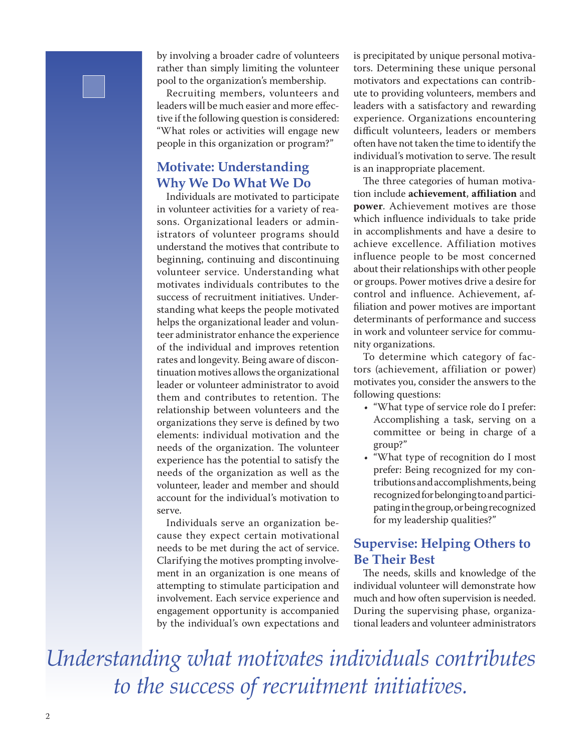by involving a broader cadre of volunteers rather than simply limiting the volunteer pool to the organization's membership.

Recruiting members, volunteers and leaders will be much easier and more effective if the following question is considered: "What roles or activities will engage new people in this organization or program?"

## **Motivate: Understanding Why We Do What We Do**

Individuals are motivated to participate in volunteer activities for a variety of reasons. Organizational leaders or administrators of volunteer programs should understand the motives that contribute to beginning, continuing and discontinuing volunteer service. Understanding what motivates individuals contributes to the success of recruitment initiatives. Understanding what keeps the people motivated helps the organizational leader and volunteer administrator enhance the experience of the individual and improves retention rates and longevity. Being aware of discontinuation motives allows the organizational leader or volunteer administrator to avoid them and contributes to retention. The relationship between volunteers and the organizations they serve is defined by two elements: individual motivation and the needs of the organization. The volunteer experience has the potential to satisfy the needs of the organization as well as the volunteer, leader and member and should account for the individual's motivation to serve.

Individuals serve an organization because they expect certain motivational needs to be met during the act of service. Clarifying the motives prompting involvement in an organization is one means of attempting to stimulate participation and involvement. Each service experience and engagement opportunity is accompanied by the individual's own expectations and

is precipitated by unique personal motivators. Determining these unique personal motivators and expectations can contribute to providing volunteers, members and leaders with a satisfactory and rewarding experience. Organizations encountering difficult volunteers, leaders or members often have not taken the time to identify the individual's motivation to serve. The result is an inappropriate placement.

The three categories of human motivation include **achievement**, **affiliation** and **power**. Achievement motives are those which influence individuals to take pride in accomplishments and have a desire to achieve excellence. Affiliation motives influence people to be most concerned about their relationships with other people or groups. Power motives drive a desire for control and influence. Achievement, affiliation and power motives are important determinants of performance and success in work and volunteer service for community organizations.

To determine which category of factors (achievement, affiliation or power) motivates you, consider the answers to the following questions:

- • "What type of service role do I prefer: Accomplishing a task, serving on a committee or being in charge of a group?"
- • "What type of recognition do I most prefer: Being recognized for my contributions and accomplishments, being recognized for belonging to and participating in the group, or being recognized for my leadership qualities?"

## **Supervise: Helping Others to Be Their Best**

The needs, skills and knowledge of the individual volunteer will demonstrate how much and how often supervision is needed. During the supervising phase, organizational leaders and volunteer administrators

*Understanding what motivates individuals contributes to the success of recruitment initiatives.*